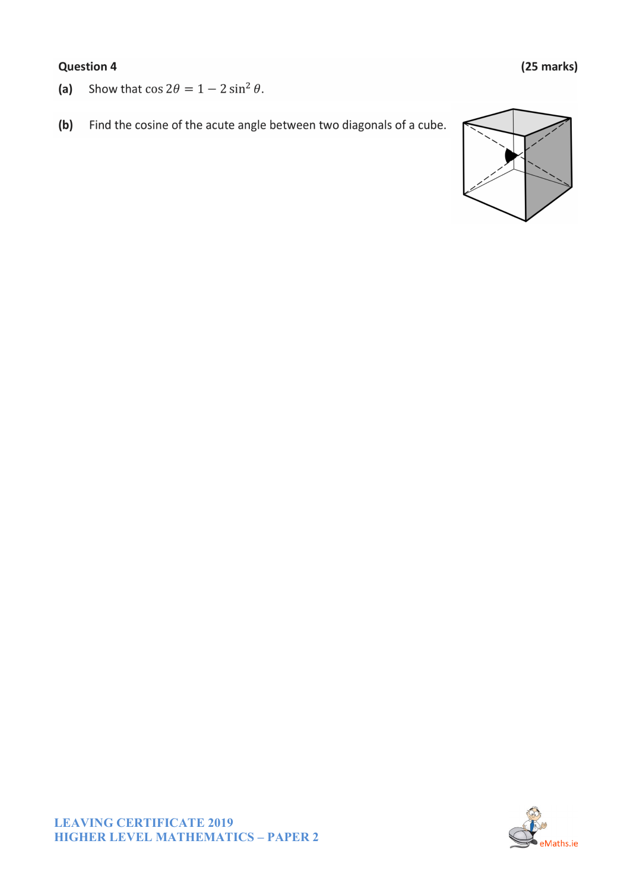## **Question 4**

- Show that  $\cos 2\theta = 1 2 \sin^2 \theta$ .  $(a)$
- $(b)$ Find the cosine of the acute angle between two diagonals of a cube.



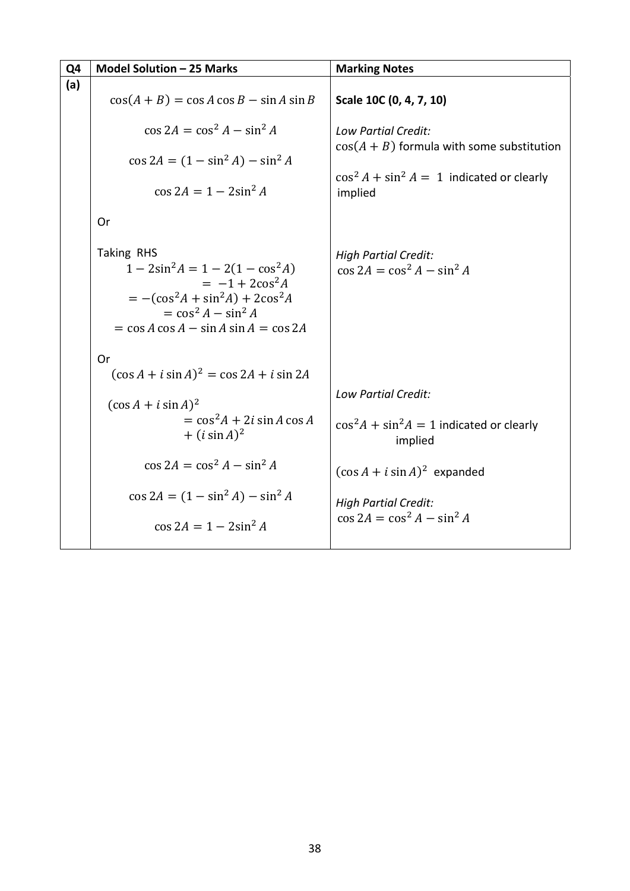| Q4  | Model Solution - 25 Marks                                                                                                                                                                                          | <b>Marking Notes</b>                                           |
|-----|--------------------------------------------------------------------------------------------------------------------------------------------------------------------------------------------------------------------|----------------------------------------------------------------|
| (a) | $\cos(A+B) = \cos A \cos B - \sin A \sin B$                                                                                                                                                                        | Scale 10C (0, 4, 7, 10)                                        |
|     |                                                                                                                                                                                                                    |                                                                |
|     | $\cos 2A = \cos^2 A - \sin^2 A$                                                                                                                                                                                    | Low Partial Credit:                                            |
|     | $\cos 2A = (1 - \sin^2 A) - \sin^2 A$                                                                                                                                                                              | $cos(A + B)$ formula with some substitution                    |
|     | $\cos 2A = 1 - 2\sin^2 A$                                                                                                                                                                                          | $\cos^2 A + \sin^2 A = 1$ indicated or clearly<br>implied      |
|     | Or                                                                                                                                                                                                                 |                                                                |
|     | Taking RHS<br>$1 - 2\sin^2 A = 1 - 2(1 - \cos^2 A)$<br>$= -1 + 2\cos^2 A$<br>$= -(\cos^2 A + \sin^2 A) + 2\cos^2 A$<br>$=$ cos <sup>2</sup> A $-$ sin <sup>2</sup> A<br>$=$ cos A cos A $-$ sin A sin A $=$ cos 2A | <b>High Partial Credit:</b><br>$\cos 2A = \cos^2 A - \sin^2 A$ |
|     | Or<br>$(\cos A + i \sin A)^2 = \cos 2A + i \sin 2A$                                                                                                                                                                | <b>Low Partial Credit:</b>                                     |
|     | $(\cos A + i \sin A)^2$                                                                                                                                                                                            |                                                                |
|     | $=$ $\cos^2 A + 2i \sin A \cos A$<br>$+$ ( <i>i</i> sin A) <sup>2</sup>                                                                                                                                            | $\cos^2 A + \sin^2 A = 1$ indicated or clearly<br>implied      |
|     | $\cos 2A = \cos^2 A - \sin^2 A$                                                                                                                                                                                    | $(\cos A + i \sin A)^2$ expanded                               |
|     | $\cos 2A = (1 - \sin^2 A) - \sin^2 A$                                                                                                                                                                              | <b>High Partial Credit:</b>                                    |
|     | $\cos 2A = 1 - 2\sin^2 A$                                                                                                                                                                                          | $\cos 2A = \cos^2 A - \sin^2 A$                                |